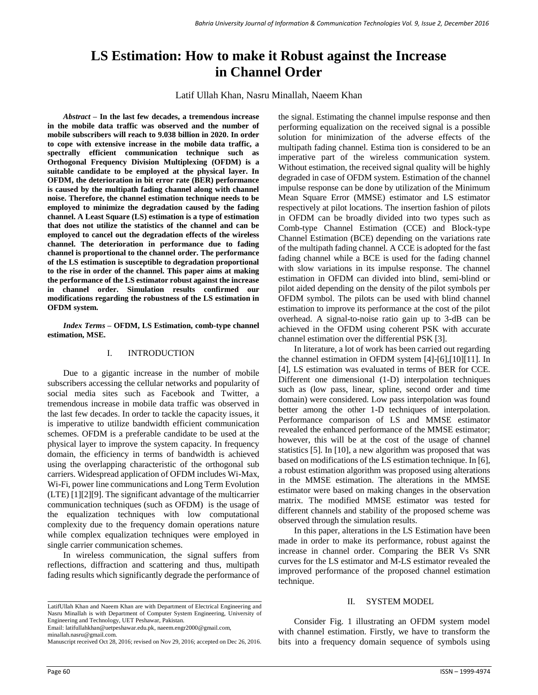# **LS Estimation: How to make it Robust against the Increase in Channel Order**

Latif Ullah Khan, Nasru Minallah, Naeem Khan

*Abstract –* **In the last few decades, a tremendous increase in the mobile data traffic was observed and the number of mobile subscribers will reach to 9.038 billion in 2020. In order to cope with extensive increase in the mobile data traffic, a spectrally efficient communication technique such as Orthogonal Frequency Division Multiplexing (OFDM) is a suitable candidate to be employed at the physical layer. In OFDM, the deterioration in bit error rate (BER) performance is caused by the multipath fading channel along with channel noise. Therefore, the channel estimation technique needs to be employed to minimize the degradation caused by the fading channel. A Least Square (LS) estimation is a type of estimation that does not utilize the statistics of the channel and can be employed to cancel out the degradation effects of the wireless channel. The deterioration in performance due to fading channel is proportional to the channel order. The performance of the LS estimation is susceptible to degradation proportional to the rise in order of the channel. This paper aims at making the performance of the LS estimator robust against the increase in channel order. Simulation results confirmed our modifications regarding the robustness of the LS estimation in OFDM system.** 

*Index Terms –* **OFDM, LS Estimation, comb-type channel estimation, MSE.**

# I. INTRODUCTION

Due to a gigantic increase in the number of mobile subscribers accessing the cellular networks and popularity of social media sites such as Facebook and Twitter, a tremendous increase in mobile data traffic was observed in the last few decades. In order to tackle the capacity issues, it is imperative to utilize bandwidth efficient communication schemes. OFDM is a preferable candidate to be used at the physical layer to improve the system capacity. In frequency domain, the efficiency in terms of bandwidth is achieved using the overlapping characteristic of the orthogonal sub carriers. Widespread application of OFDM includes Wi-Max, Wi-Fi, power line communications and Long Term Evolution (LTE) [1][2][9]. The significant advantage of the multicarrier communication techniques (such as OFDM) is the usage of the equalization techniques with low computational complexity due to the frequency domain operations nature while complex equalization techniques were employed in single carrier communication schemes.

In wireless communication, the signal suffers from reflections, diffraction and scattering and thus, multipath fading results which significantly degrade the performance of

LatifUllah Khan and Naeem Khan are with Department of Electrical Engineering and Nasru Minallah is with Department of Computer System Engineering, University of Engineering and Technology, UET Peshawar, Pakistan.

Email: latifullahkhan@uetpeshawar.edu.pk, [naeem.engr2000@gmail.com,](mailto:naeem.engr2000@gmail.com) 

minallah.nasru@gmail.com.

Manuscript received Oct 28, 2016; revised on Nov 29, 2016; accepted on Dec 26, 2016.

the signal. Estimating the channel impulse response and then performing equalization on the received signal is a possible solution for minimization of the adverse effects of the multipath fading channel. Estima tion is considered to be an imperative part of the wireless communication system. Without estimation, the received signal quality will be highly degraded in case of OFDM system. Estimation of the channel impulse response can be done by utilization of the Minimum Mean Square Error (MMSE) estimator and LS estimator respectively at pilot locations. The insertion fashion of pilots in OFDM can be broadly divided into two types such as Comb-type Channel Estimation (CCE) and Block-type Channel Estimation (BCE) depending on the variations rate of the multipath fading channel. A CCE is adopted for the fast fading channel while a BCE is used for the fading channel with slow variations in its impulse response. The channel estimation in OFDM can divided into blind, semi-blind or pilot aided depending on the density of the pilot symbols per OFDM symbol. The pilots can be used with blind channel estimation to improve its performance at the cost of the pilot overhead. A signal-to-noise ratio gain up to 3-dB can be achieved in the OFDM using coherent PSK with accurate channel estimation over the differential PSK [3].

In literature, a lot of work has been carried out regarding the channel estimation in OFDM system [4]-[6],[10][11]. In [4], LS estimation was evaluated in terms of BER for CCE. Different one dimensional (1-D) interpolation techniques such as (low pass, linear, spline, second order and time domain) were considered. Low pass interpolation was found better among the other 1-D techniques of interpolation. Performance comparison of LS and MMSE estimator revealed the enhanced performance of the MMSE estimator; however, this will be at the cost of the usage of channel statistics [5]. In [10], a new algorithm was proposed that was based on modifications of the LS estimation technique. In [6], a robust estimation algorithm was proposed using alterations in the MMSE estimation. The alterations in the MMSE estimator were based on making changes in the observation matrix. The modified MMSE estimator was tested for different channels and stability of the proposed scheme was observed through the simulation results.

In this paper, alterations in the LS Estimation have been made in order to make its performance, robust against the increase in channel order. Comparing the BER Vs SNR curves for the LS estimator and M-LS estimator revealed the improved performance of the proposed channel estimation technique.

## II. SYSTEM MODEL

Consider Fig. 1 illustrating an OFDM system model with channel estimation. Firstly, we have to transform the bits into a frequency domain sequence of symbols using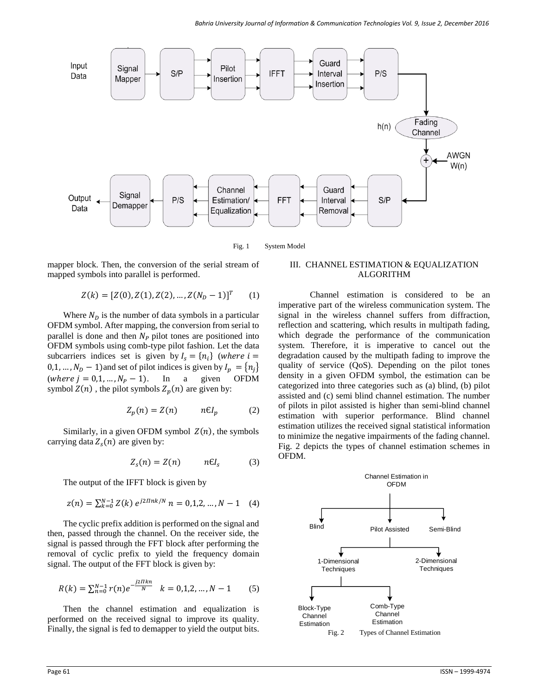

Fig. 1 System Model

mapper block. Then, the conversion of the serial stream of mapped symbols into parallel is performed.

$$
Z(k) = [Z(0), Z(1), Z(2), ..., Z(N_D - 1)]T
$$
 (1)

Where  $N_D$  is the number of data symbols in a particular OFDM symbol. After mapping, the conversion from serial to parallel is done and then  $N_p$  pilot tones are positioned into OFDM symbols using comb-type pilot fashion. Let the data subcarriers indices set is given by  $I_s = \{n_i\}$  (where  $i =$ 0,1, ...,  $N_D - 1$ ) and set of pilot indices is given by  $I_p = \{n_j\}$ (where  $j = 0, 1, ..., N_p - 1$ ). In a given OFDM symbol  $Z(n)$ , the pilot symbols  $Z_p(n)$  are given by:

$$
Z_p(n) = Z(n) \qquad n\epsilon I_p \tag{2}
$$

Similarly, in a given OFDM symbol  $Z(n)$ , the symbols carrying data  $Z_s(n)$  are given by:

$$
Z_s(n) = Z(n) \qquad n\epsilon I_s \qquad (3)
$$

The output of the IFFT block is given by

$$
z(n) = \sum_{k=0}^{N-1} Z(k) e^{j2 \pi n k / N} n = 0, 1, 2, ..., N - 1 \quad (4)
$$

The cyclic prefix addition is performed on the signal and then, passed through the channel. On the receiver side, the signal is passed through the FFT block after performing the removal of cyclic prefix to yield the frequency domain signal. The output of the FFT block is given by:

$$
R(k) = \sum_{n=0}^{N-1} r(n)e^{-j2\pi k n} \quad k = 0, 1, 2, ..., N-1 \quad (5)
$$

Then the channel estimation and equalization is performed on the received signal to improve its quality. Finally, the signal is fed to demapper to yield the output bits.

# III. CHANNEL ESTIMATION & EQUALIZATION ALGORITHM

Channel estimation is considered to be an imperative part of the wireless communication system. The signal in the wireless channel suffers from diffraction, reflection and scattering, which results in multipath fading, which degrade the performance of the communication system. Therefore, it is imperative to cancel out the degradation caused by the multipath fading to improve the quality of service (QoS). Depending on the pilot tones density in a given OFDM symbol, the estimation can be categorized into three categories such as (a) blind, (b) pilot assisted and (c) semi blind channel estimation. The number of pilots in pilot assisted is higher than semi-blind channel estimation with superior performance. Blind channel estimation utilizes the received signal statistical information to minimize the negative impairments of the fading channel. Fig. 2 depicts the types of channel estimation schemes in OFDM.

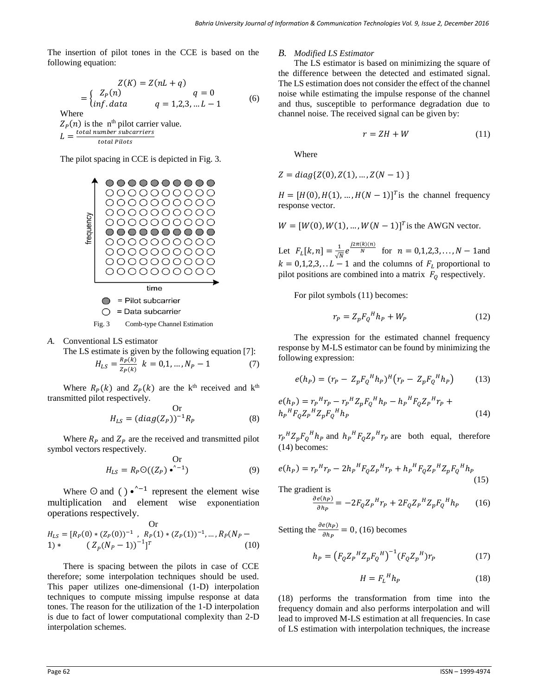The insertion of pilot tones in the CCE is based on the following equation:

$$
Z(K) = Z(nL + q)
$$
  
= 
$$
\begin{cases} Z_P(n) & q = 0\\ inf.data & q = 1,2,3,...L - 1 \end{cases}
$$
 (6)  
Where  

$$
Z_P(n)
$$
 is the n<sup>th</sup> pilot carrier value.  

$$
L = \frac{total\ number\ subcarriers}{total\ Pilots}
$$

The pilot spacing in CCE is depicted in Fig. 3.



Fig. 3 Comb-type Channel Estimation

*A.* Conventional LS estimator

The LS estimate is given by the following equation [7]:

$$
H_{LS} = \frac{R_P(k)}{Z_P(k)} \quad k = 0, 1, \dots, N_P - 1 \tag{7}
$$

Where  $R_P(k)$  and  $Z_P(k)$  are the k<sup>th</sup> received and k<sup>th</sup> transmitted pilot respectively.

Or  

$$
H_{LS} = (diag(Z_P))^{-1}R_P
$$
 (8)

Where  $R_p$  and  $Z_p$  are the received and transmitted pilot symbol vectors respectively.

Or  

$$
H_{LS} = R_P \mathcal{O}((Z_P) \cdot \cdot ^{n-1})
$$
 (9)

Where  $\odot$  and ( ) •  $\sim$  1 represent the element wise multiplication and element wise exponentiation operations respectively.

Or  
\n
$$
H_{LS} = [R_P(0) * (Z_P(0))^{-1}, R_P(1) * (Z_P(1))^{-1}, ..., R_P(N_P - 1) * (Z_P(N_P - 1))^{-1}]^T
$$
\n(10)

There is spacing between the pilots in case of CCE therefore; some interpolation techniques should be used. This paper utilizes one-dimensional (1-D) interpolation techniques to compute missing impulse response at data tones. The reason for the utilization of the 1-D interpolation is due to fact of lower computational complexity than 2-D interpolation schemes.

### *B. Modified LS Estimator*

The LS estimator is based on minimizing the square of the difference between the detected and estimated signal. The LS estimation does not consider the effect of the channel noise while estimating the impulse response of the channel and thus, susceptible to performance degradation due to channel noise. The received signal can be given by:

$$
r = ZH + W \tag{11}
$$

Where

$$
Z = diag\{Z(0), Z(1), ..., Z(N-1)\}
$$

 $H = [H(0), H(1), ..., H(N-1)]^T$  is the channel frequency response vector.

$$
W = [W(0), W(1), ..., W(N-1)]^T
$$
 is the AWGN vector.

Let  $F_L[k, n] = \frac{1}{\sqrt{n}}$  $\frac{1}{\sqrt{N}}e^{\frac{j2\pi(k)(n)}{N}}$  for  $n = 0, 1, 2, 3, ..., N - 1$  and  $k = 0,1,2,3, \ldots L - 1$  and the columns of  $F_L$  proportional to pilot positions are combined into a matrix  $F_Q$  respectively.

For pilot symbols (11) becomes:

$$
r_P = Z_p F_Q^H h_P + W_P \tag{12}
$$

The expression for the estimated channel frequency response by M-LS estimator can be found by minimizing the following expression:

$$
e(h_P) = (r_P - Z_p F_Q^H h_P)^H (r_P - Z_p F_Q^H h_P)
$$
 (13)

$$
e(h_P) = r_P{}^H r_P - r_P{}^H Z_p F_Q{}^H h_P - h_P{}^H F_Q Z_P{}^H r_P +
$$
  
\n
$$
h_P{}^H F_Q Z_P{}^H Z_p F_Q{}^H h_P
$$
\n(14)

 $r_P{}^H Z_p F_Q{}^H h_P$  and  $h_P{}^H F_Q Z_P{}^H r_P$  are both equal, therefore (14) becomes:

$$
e(h_P) = r_P{}^H r_P - 2h_P{}^H F_Q Z_P{}^H r_P + h_P{}^H F_Q Z_P{}^H Z_P F_Q{}^H h_P
$$
\n(15)

The gradient is

$$
\frac{\partial e(h_P)}{\partial h_P} = -2F_Q Z_P{}^H r_P + 2F_Q Z_P{}^H Z_p F_Q{}^H h_P \qquad (16)
$$

Setting the  $\frac{\partial e(h_P)}{\partial h_P} = 0$ , (16) becomes

$$
h_P = (F_Q Z_P{}^H Z_p F_Q{}^H)^{-1} (F_Q Z_p{}^H) r_P
$$
 (17)

$$
H = F_L^H h_P \tag{18}
$$

(18) performs the transformation from time into the frequency domain and also performs interpolation and will lead to improved M-LS estimation at all frequencies. In case of LS estimation with interpolation techniques, the increase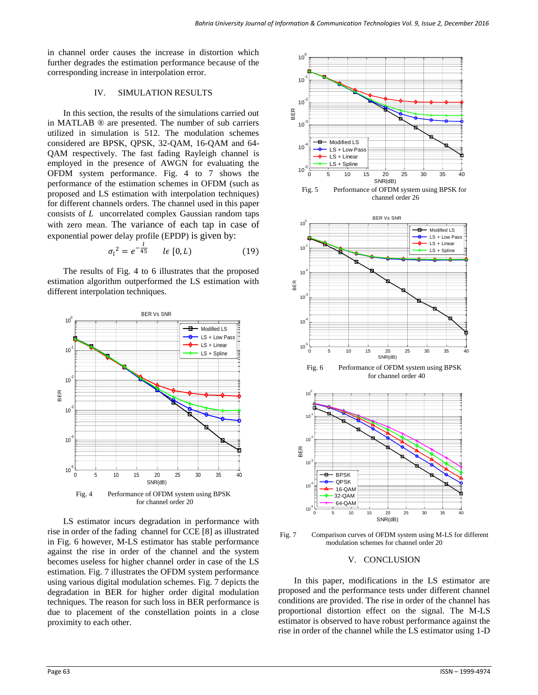in channel order causes the increase in distortion which further degrades the estimation performance because of the corresponding increase in interpolation error.

## IV. SIMULATION RESULTS

In this section, the results of the simulations carried out in MATLAB ® are presented. The number of sub carriers utilized in simulation is 512. The modulation schemes considered are BPSK, QPSK, 32-QAM, 16-QAM and 64- QAM respectively. The fast fading Rayleigh channel is employed in the presence of AWGN for evaluating the OFDM system performance. Fig. 4 to 7 shows the performance of the estimation schemes in OFDM (such as proposed and LS estimation with interpolation techniques) for different channels orders. The channel used in this paper consists of *L* uncorrelated complex Gaussian random taps with zero mean. The variance of each tap in case of exponential power delay profile (EPDP) is given by:

$$
\sigma_l^2 = e^{-\frac{l}{45}} \qquad l \in [0, L) \tag{19}
$$

The results of Fig. 4 to 6 illustrates that the proposed estimation algorithm outperformed the LS estimation with different interpolation techniques.



LS estimator incurs degradation in performance with rise in order of the fading channel for CCE [8] as illustrated in Fig. 6 however, M-LS estimator has stable performance against the rise in order of the channel and the system becomes useless for higher channel order in case of the LS estimation. Fig. 7 illustrates the OFDM system performance using various digital modulation schemes. Fig. 7 depicts the degradation in BER for higher order digital modulation techniques. The reason for such loss in BER performance is due to placement of the constellation points in a close proximity to each other.



Fig. 7 Comparison curves of OFDM system using M-LS for different modulation schemes for channel order 20

## V. CONCLUSION

In this paper, modifications in the LS estimator are proposed and the performance tests under different channel conditions are provided. The rise in order of the channel has proportional distortion effect on the signal. The M-LS estimator is observed to have robust performance against the rise in order of the channel while the LS estimator using 1-D